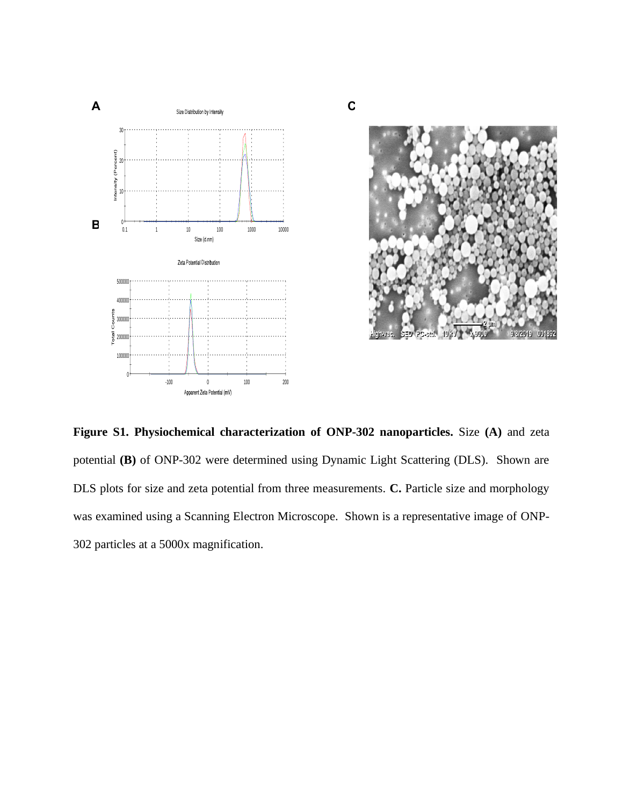



Figure S1. Physiochemical characterization of ONP-302 nanoparticles. Size (A) and zeta potential (B) of ONP-302 were determined using Dynamic Light Scattering (DLS). Shown are DLS plots for size and zeta potential from three measurements. **C.** Particle size and morphology was examined using a Scanning Electron Microscope. Shown is a representative image of ONP-302 particles at a 5000x magnification. **DLS** plots for size and zeta potential from three measurements. **C.** Particle size and mo DLS plots for size and zeta potential from three me

**C**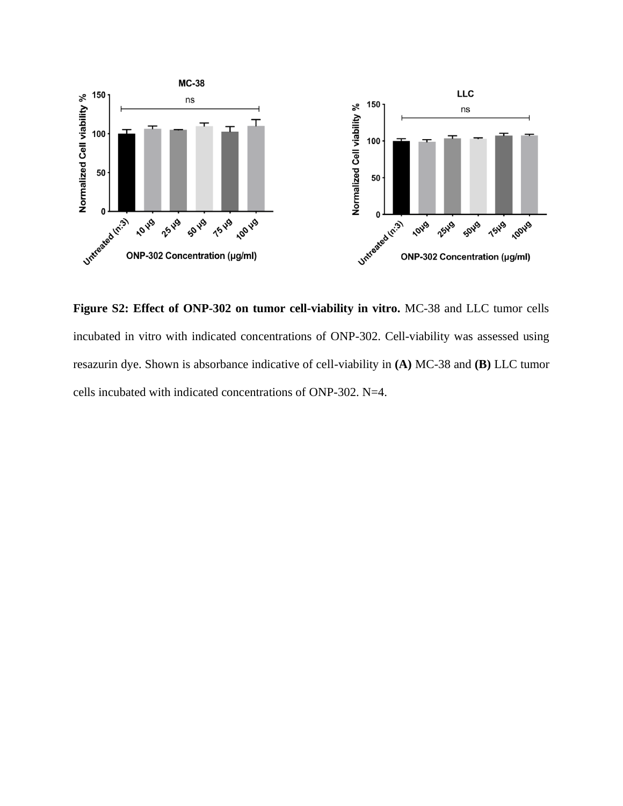

**Figure S2: Effect of ONP-302 on tumor cell-viability in vitro.** MC-38 and LLC tumor cells incubated in vitro with indicated concentrations of ONP-302. Cell-viability was assessed using resazurin dye. Shown is absorbance indicative of cell-viability in **(A)** MC-38 and **(B)** LLC tumor cells incubated with indicated concentrations of ONP-302. N=4.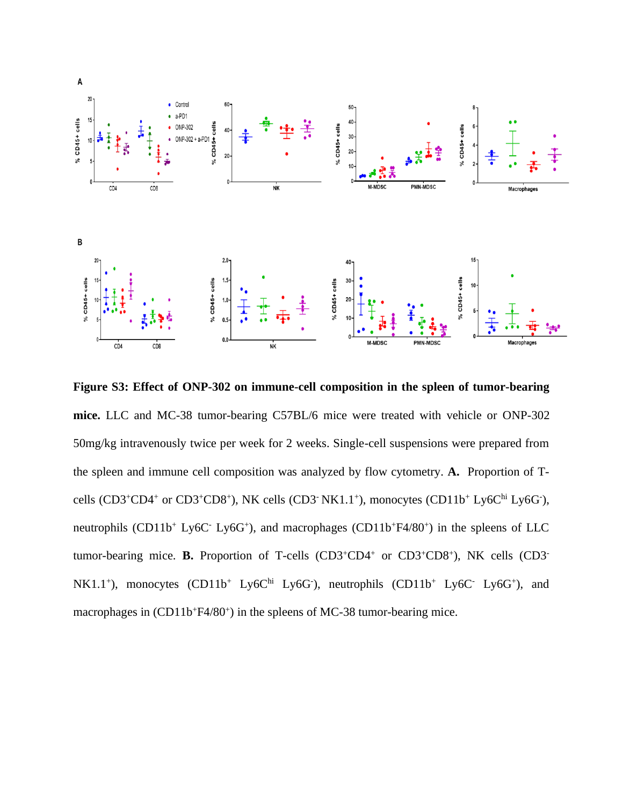

**Figure S3: Effect of ONP-302 on immune-cell composition in the spleen of tumor-bearing mice.** LLC and MC-38 tumor-bearing C57BL/6 mice were treated with vehicle or ONP-302 50mg/kg intravenously twice per week for 2 weeks. Single-cell suspensions were prepared from the spleen and immune cell composition was analyzed by flow cytometry. **A.** Proportion of Tcells  $(CD3+CD4$ <sup>+</sup> or  $CD3+CD8$ <sup>+</sup>), NK cells  $(CD3$ <sup>-</sup> NK1.1<sup>+</sup>), monocytes  $(CD11b$ <sup>+</sup> Ly6C<sup>hi</sup> Ly6G<sup>-</sup>), neutrophils (CD11b<sup>+</sup> Ly6C<sup>-</sup> Ly6G<sup>+</sup>), and macrophages (CD11b<sup>+</sup>F4/80<sup>+</sup>) in the spleens of LLC tumor-bearing mice. **B.** Proportion of T-cells (CD3<sup>+</sup>CD4<sup>+</sup> or CD3<sup>+</sup>CD8<sup>+</sup>), NK cells (CD3<sup>-</sup>  $NK1.1^+$ ), monocytes  $(CD11b^+ Ly6C^h$  Ly6G ), neutrophils  $(CD11b^+ Ly6C^- Ly6G^+)$ , and macrophages in (CD11b+F4/80+) in the spleens of MC-38 tumor-bearing mice.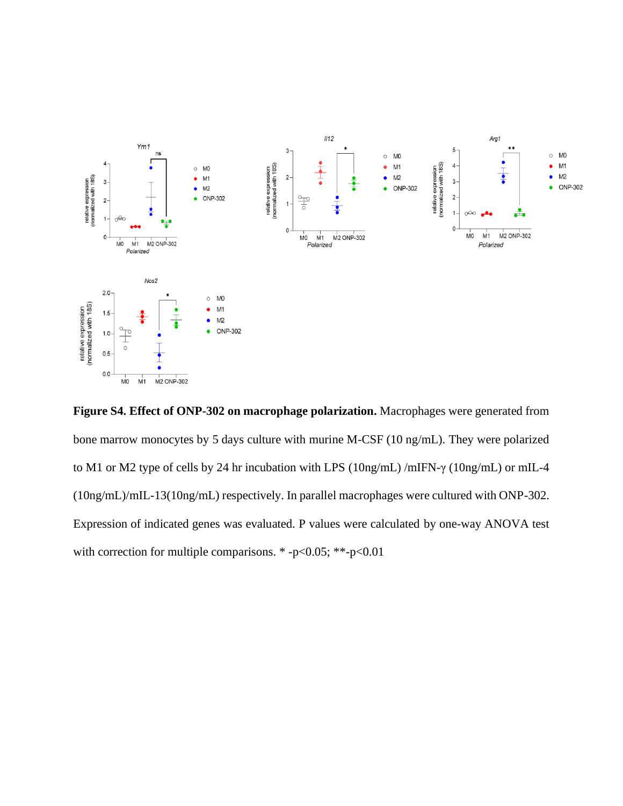

**Figure S4. Effect of ONP-302 on macrophage polarization.** Macrophages were generated from bone marrow monocytes by 5 days culture with murine M-CSF (10 ng/mL). They were polarized to M1 or M2 type of cells by 24 hr incubation with LPS (10ng/mL) /mIFN-γ (10ng/mL) or mIL-4 (10ng/mL)/mIL-13(10ng/mL) respectively. In parallel macrophages were cultured with ONP-302. Expression of indicated genes was evaluated. P values were calculated by one-way ANOVA test with correction for multiple comparisons. \* -p<0.05; \*\*-p<0.01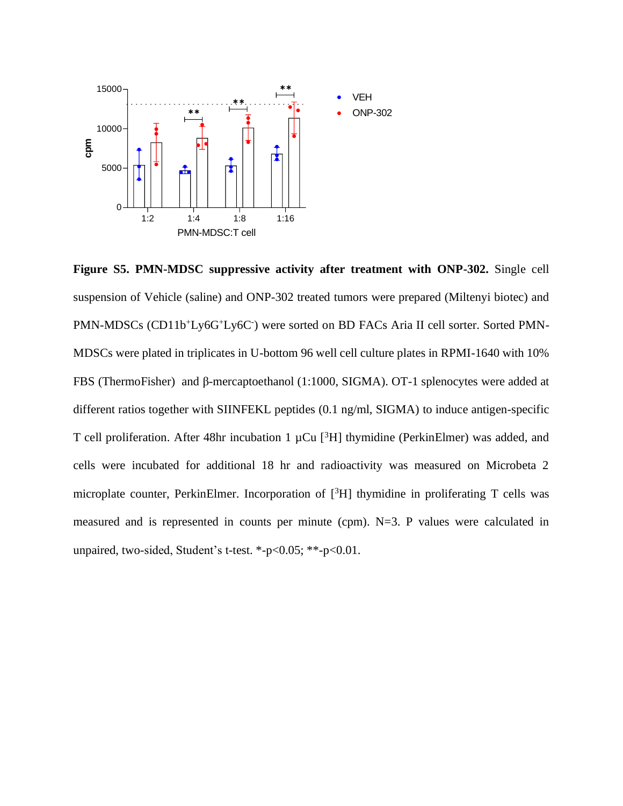

**Figure S5. PMN-MDSC suppressive activity after treatment with ONP-302.** Single cell suspension of Vehicle (saline) and ONP-302 treated tumors were prepared (Miltenyi biotec) and PMN-MDSCs (CD11b+Ly6G+Ly6C-) were sorted on BD FACs Aria II cell sorter. Sorted PMN-MDSCs were plated in triplicates in U-bottom 96 well cell culture plates in RPMI-1640 with 10% FBS (ThermoFisher) and β-mercaptoethanol (1:1000, SIGMA). OT-1 splenocytes were added at different ratios together with SIINFEKL peptides (0.1 ng/ml, SIGMA) to induce antigen-specific T cell proliferation. After 48hr incubation 1  $\mu$ Cu [<sup>3</sup>H] thymidine (PerkinElmer) was added, and cells were incubated for additional 18 hr and radioactivity was measured on Microbeta 2 microplate counter, PerkinElmer. Incorporation of [<sup>3</sup>H] thymidine in proliferating T cells was measured and is represented in counts per minute (cpm). N=3. P values were calculated in unpaired, two-sided, Student's t-test. \*-p<0.05; \*\*-p<0.01.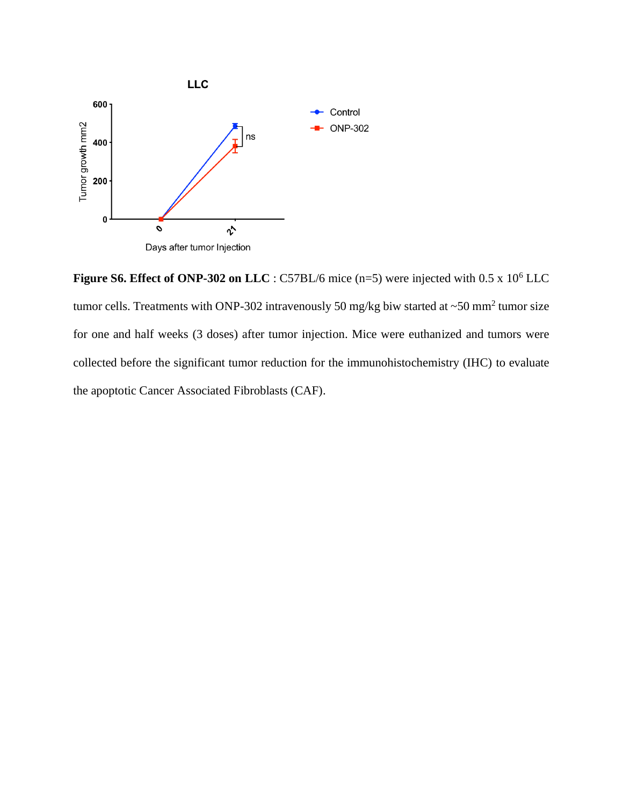

**Figure S6. Effect of ONP-302 on LLC** : C57BL/6 mice (n=5) were injected with 0.5 x 10<sup>6</sup> LLC tumor cells. Treatments with ONP-302 intravenously 50 mg/kg biw started at  $\sim$ 50 mm<sup>2</sup> tumor size for one and half weeks (3 doses) after tumor injection. Mice were euthanized and tumors were collected before the significant tumor reduction for the immunohistochemistry (IHC) to evaluate the apoptotic Cancer Associated Fibroblasts (CAF).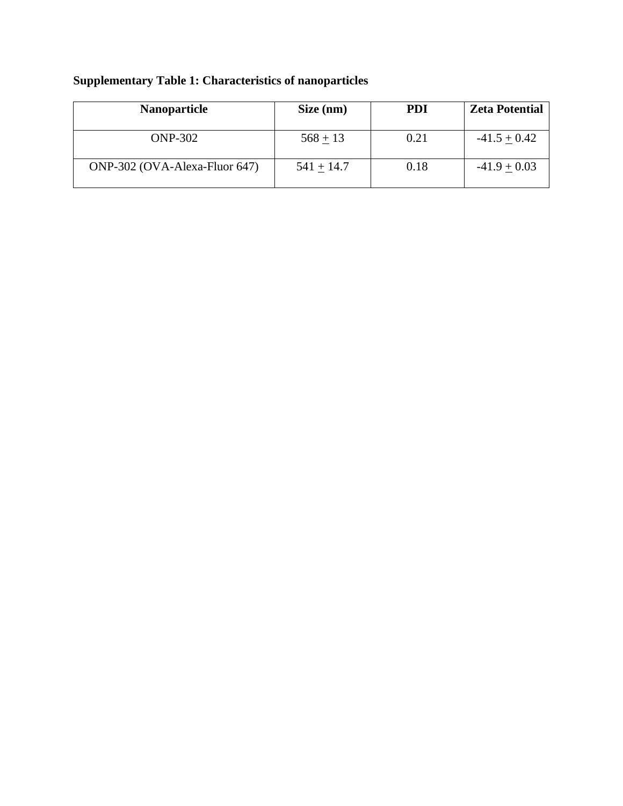| <b>Nanoparticle</b>           | Size (nm)    | <b>PDI</b> | <b>Zeta Potential</b> |
|-------------------------------|--------------|------------|-----------------------|
| <b>ONP-302</b>                | $568 + 13$   | 0.21       | $-41.5 + 0.42$        |
| ONP-302 (OVA-Alexa-Fluor 647) | $541 + 14.7$ | 0.18       | $-41.9 + 0.03$        |

## **Supplementary Table 1: Characteristics of nanoparticles**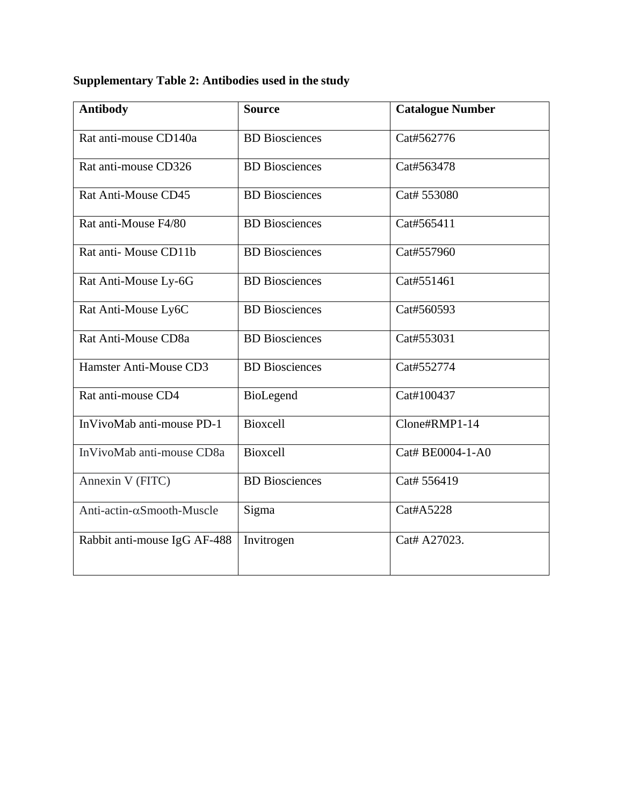## **Supplementary Table 2: Antibodies used in the study**

| <b>Antibody</b>              | <b>Source</b>         | <b>Catalogue Number</b> |
|------------------------------|-----------------------|-------------------------|
| Rat anti-mouse CD140a        | <b>BD</b> Biosciences | Cat#562776              |
| Rat anti-mouse CD326         | <b>BD</b> Biosciences | Cat#563478              |
| Rat Anti-Mouse CD45          | <b>BD</b> Biosciences | Cat# 553080             |
| Rat anti-Mouse F4/80         | <b>BD</b> Biosciences | Cat#565411              |
| Rat anti-Mouse CD11b         | <b>BD</b> Biosciences | Cat#557960              |
| Rat Anti-Mouse Ly-6G         | <b>BD</b> Biosciences | Cat#551461              |
| Rat Anti-Mouse Ly6C          | <b>BD</b> Biosciences | Cat#560593              |
| Rat Anti-Mouse CD8a          | <b>BD</b> Biosciences | Cat#553031              |
| Hamster Anti-Mouse CD3       | <b>BD</b> Biosciences | Cat#552774              |
| Rat anti-mouse CD4           | BioLegend             | Cat#100437              |
| InVivoMab anti-mouse PD-1    | <b>Bioxcell</b>       | Clone#RMP1-14           |
| InVivoMab anti-mouse CD8a    | <b>Bioxcell</b>       | Cat# BE0004-1-A0        |
| Annexin V (FITC)             | <b>BD</b> Biosciences | Cat# 556419             |
| Anti-actin-αSmooth-Muscle    | Sigma                 | Cat#A5228               |
| Rabbit anti-mouse IgG AF-488 | Invitrogen            | Cat# A27023.            |